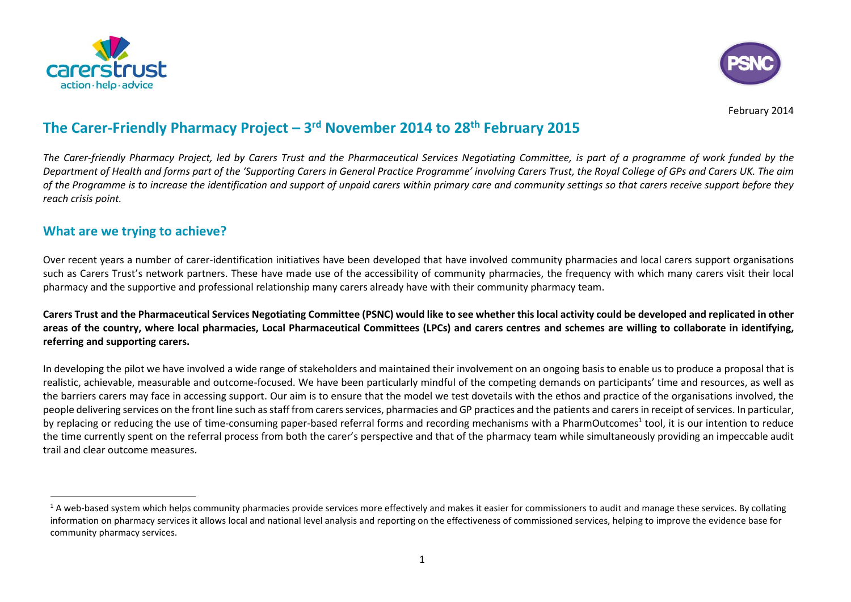



February 2014

# **The Carer-Friendly Pharmacy Project – 3 rd November 2014 to 28th February 2015**

*The Carer-friendly Pharmacy Project, led by Carers Trust and the Pharmaceutical Services Negotiating Committee, is part of a programme of work funded by the Department of Health and forms part of the 'Supporting Carers in General Practice Programme' involving Carers Trust, the Royal College of GPs and Carers UK. The aim of the Programme is to increase the identification and support of unpaid carers within primary care and community settings so that carers receive support before they reach crisis point.* 

### **What are we trying to achieve?**

 $\overline{a}$ 

Over recent years a number of carer-identification initiatives have been developed that have involved community pharmacies and local carers support organisations such as Carers Trust's network partners. These have made use of the accessibility of community pharmacies, the frequency with which many carers visit their local pharmacy and the supportive and professional relationship many carers already have with their community pharmacy team.

**Carers Trust and the Pharmaceutical Services Negotiating Committee (PSNC) would like to see whether this local activity could be developed and replicated in other areas of the country, where local pharmacies, Local Pharmaceutical Committees (LPCs) and carers centres and schemes are willing to collaborate in identifying, referring and supporting carers.**

In developing the pilot we have involved a wide range of stakeholders and maintained their involvement on an ongoing basis to enable us to produce a proposal that is realistic, achievable, measurable and outcome-focused. We have been particularly mindful of the competing demands on participants' time and resources, as well as the barriers carers may face in accessing support. Our aim is to ensure that the model we test dovetails with the ethos and practice of the organisations involved, the people delivering services on the front line such as staff from carers services, pharmacies and GP practices and the patients and carers in receipt of services. In particular, by replacing or reducing the use of time-consuming paper-based referral forms and recording mechanisms with a PharmOutcomes<sup>1</sup> tool, it is our intention to reduce the time currently spent on the referral process from both the carer's perspective and that of the pharmacy team while simultaneously providing an impeccable audit trail and clear outcome measures.

 $1$  A web-based system which helps community pharmacies provide services more effectively and makes it easier for commissioners to audit and manage these services. By collating information on pharmacy services it allows local and national level analysis and reporting on the effectiveness of commissioned services, helping to improve the evidence base for community pharmacy services.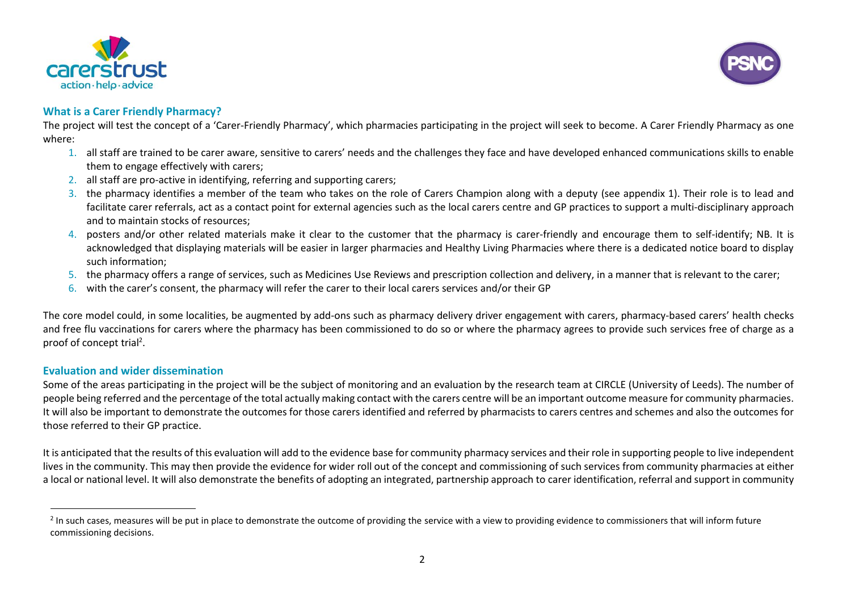



#### **What is a Carer Friendly Pharmacy?**

The project will test the concept of a 'Carer-Friendly Pharmacy', which pharmacies participating in the project will seek to become. A Carer Friendly Pharmacy as one where:

- 1. all staff are trained to be carer aware, sensitive to carers' needs and the challenges they face and have developed enhanced communications skills to enable them to engage effectively with carers;
- 2. all staff are pro-active in identifying, referring and supporting carers;
- 3. the pharmacy identifies a member of the team who takes on the role of Carers Champion along with a deputy (see appendix 1). Their role is to lead and facilitate carer referrals, act as a contact point for external agencies such as the local carers centre and GP practices to support a multi-disciplinary approach and to maintain stocks of resources;
- 4. posters and/or other related materials make it clear to the customer that the pharmacy is carer-friendly and encourage them to self-identify; NB. It is acknowledged that displaying materials will be easier in larger pharmacies and Healthy Living Pharmacies where there is a dedicated notice board to display such information;
- 5. the pharmacy offers a range of services, such as Medicines Use Reviews and prescription collection and delivery, in a manner that is relevant to the carer;
- 6. with the carer's consent, the pharmacy will refer the carer to their local carers services and/or their GP

The core model could, in some localities, be augmented by add-ons such as pharmacy delivery driver engagement with carers, pharmacy-based carers' health checks and free flu vaccinations for carers where the pharmacy has been commissioned to do so or where the pharmacy agrees to provide such services free of charge as a proof of concept trial<sup>2</sup>.

#### **Evaluation and wider dissemination**

1

Some of the areas participating in the project will be the subject of monitoring and an evaluation by the research team at CIRCLE (University of Leeds). The number of people being referred and the percentage of the total actually making contact with the carers centre will be an important outcome measure for community pharmacies. It will also be important to demonstrate the outcomes for those carers identified and referred by pharmacists to carers centres and schemes and also the outcomes for those referred to their GP practice.

It is anticipated that the results of this evaluation will add to the evidence base for community pharmacy services and their role in supporting people to live independent lives in the community. This may then provide the evidence for wider roll out of the concept and commissioning of such services from community pharmacies at either a local or national level. It will also demonstrate the benefits of adopting an integrated, partnership approach to carer identification, referral and support in community

 $^2$  In such cases, measures will be put in place to demonstrate the outcome of providing the service with a view to providing evidence to commissioners that will inform future commissioning decisions.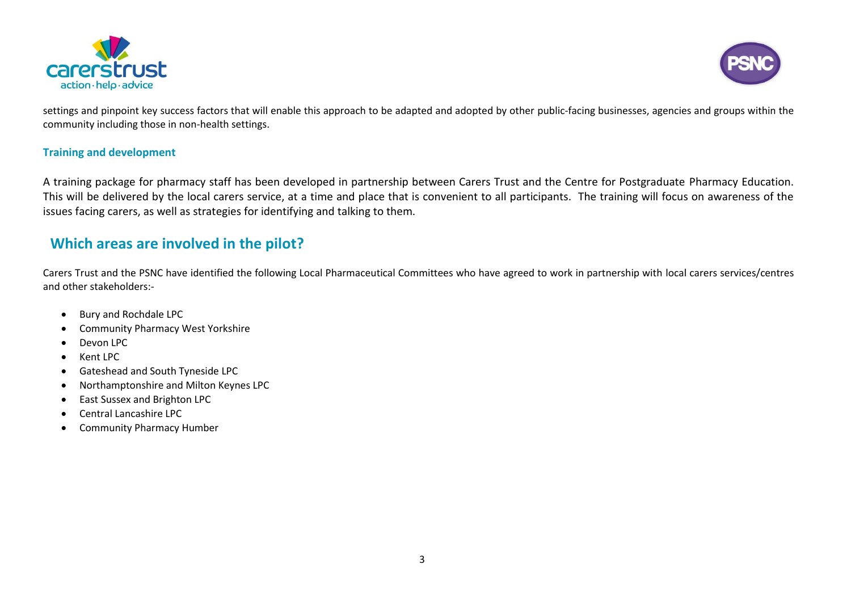



settings and pinpoint key success factors that will enable this approach to be adapted and adopted by other public-facing businesses, agencies and groups within the community including those in non-health settings.

#### **Training and development**

A training package for pharmacy staff has been developed in partnership between Carers Trust and the Centre for Postgraduate Pharmacy Education. This will be delivered by the local carers service, at a time and place that is convenient to all participants. The training will focus on awareness of the issues facing carers, as well as strategies for identifying and talking to them.

## **Which areas are involved in the pilot?**

Carers Trust and the PSNC have identified the following Local Pharmaceutical Committees who have agreed to work in partnership with local carers services/centres and other stakeholders:-

- Bury and Rochdale LPC
- Community Pharmacy West Yorkshire
- Devon LPC
- Kent LPC
- Gateshead and South Tyneside LPC
- Northamptonshire and Milton Keynes LPC
- East Sussex and Brighton LPC
- Central Lancashire LPC
- **•** Community Pharmacy Humber